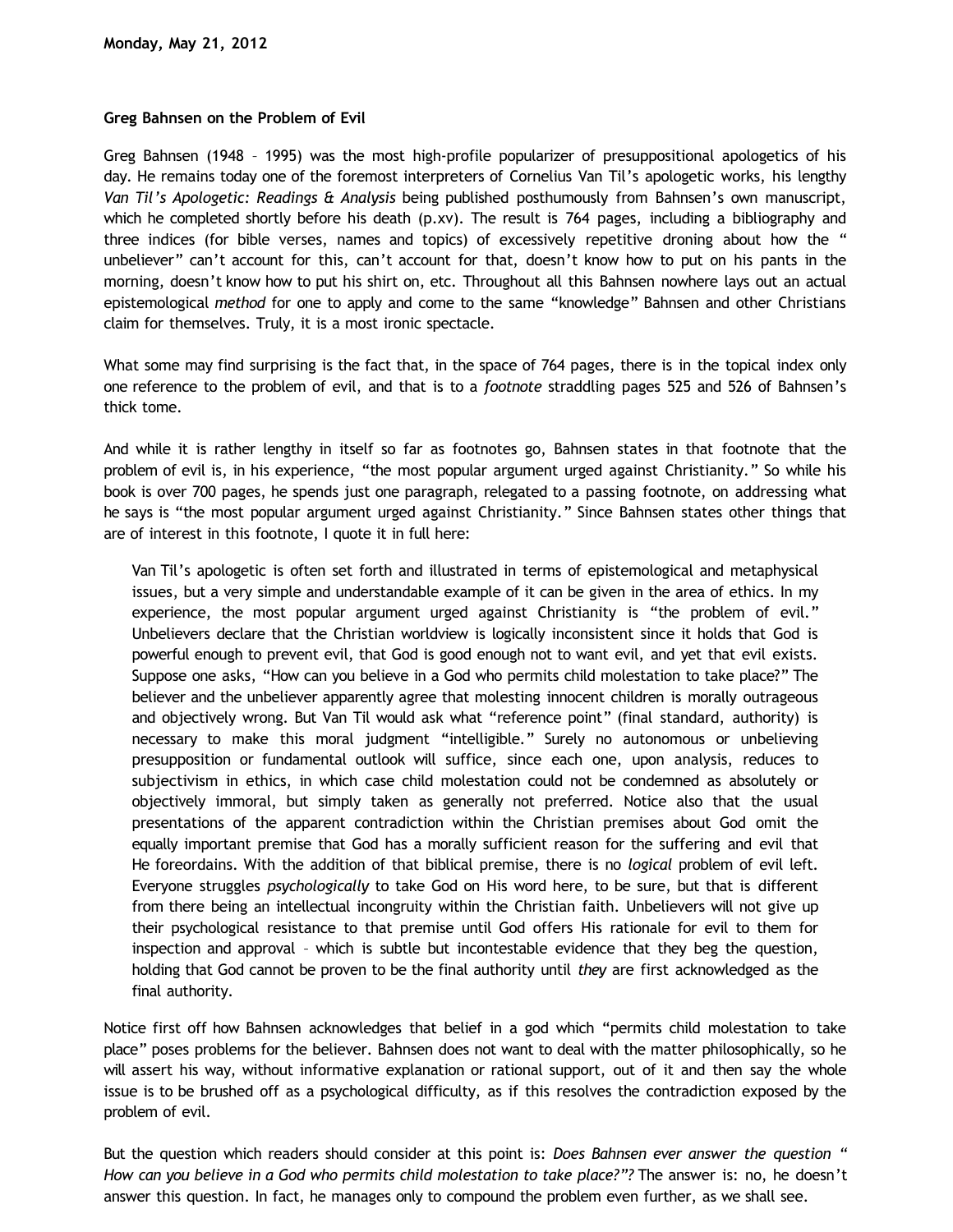## **Greg Bahnsen on the Problem of Evil**

Greg Bahnsen (1948 – 1995) was the most high-profile popularizer of presuppositional apologetics of his day. He remains today one of the foremost interpreters of Cornelius Van Til's apologetic works, his lengthy *Van Til's Apologetic: Readings & Analysis* being published posthumously from Bahnsen's own manuscript, which he completed shortly before his death (p.xv). The result is 764 pages, including a bibliography and three indices (for bible verses, names and topics) of excessively repetitive droning about how the " unbeliever" can't account for this, can't account for that, doesn't know how to put on his pants in the morning, doesn't know how to put his shirt on, etc. Throughout all this Bahnsen nowhere lays out an actual epistemological *method* for one to apply and come to the same "knowledge" Bahnsen and other Christians claim for themselves. Truly, it is a most ironic spectacle.

What some may find surprising is the fact that, in the space of 764 pages, there is in the topical index only one reference to the problem of evil, and that is to a *footnote* straddling pages 525 and 526 of Bahnsen's thick tome.

And while it is rather lengthy in itself so far as footnotes go, Bahnsen states in that footnote that the problem of evil is, in his experience, "the most popular argument urged against Christianity." So while his book is over 700 pages, he spends just one paragraph, relegated to a passing footnote, on addressing what he says is "the most popular argument urged against Christianity." Since Bahnsen states other things that are of interest in this footnote, I quote it in full here:

Van Til's apologetic is often set forth and illustrated in terms of epistemological and metaphysical issues, but a very simple and understandable example of it can be given in the area of ethics. In my experience, the most popular argument urged against Christianity is "the problem of evil." Unbelievers declare that the Christian worldview is logically inconsistent since it holds that God is powerful enough to prevent evil, that God is good enough not to want evil, and yet that evil exists. Suppose one asks, "How can you believe in a God who permits child molestation to take place?" The believer and the unbeliever apparently agree that molesting innocent children is morally outrageous and objectively wrong. But Van Til would ask what "reference point" (final standard, authority) is necessary to make this moral judgment "intelligible." Surely no autonomous or unbelieving presupposition or fundamental outlook will suffice, since each one, upon analysis, reduces to subjectivism in ethics, in which case child molestation could not be condemned as absolutely or objectively immoral, but simply taken as generally not preferred. Notice also that the usual presentations of the apparent contradiction within the Christian premises about God omit the equally important premise that God has a morally sufficient reason for the suffering and evil that He foreordains. With the addition of that biblical premise, there is no *logical* problem of evil left. Everyone struggles *psychologically* to take God on His word here, to be sure, but that is different from there being an intellectual incongruity within the Christian faith. Unbelievers will not give up their psychological resistance to that premise until God offers His rationale for evil to them for inspection and approval – which is subtle but incontestable evidence that they beg the question, holding that God cannot be proven to be the final authority until *they* are first acknowledged as the final authority.

Notice first off how Bahnsen acknowledges that belief in a god which "permits child molestation to take place" poses problems for the believer. Bahnsen does not want to deal with the matter philosophically, so he will assert his way, without informative explanation or rational support, out of it and then say the whole issue is to be brushed off as a psychological difficulty, as if this resolves the contradiction exposed by the problem of evil.

But the question which readers should consider at this point is: *Does Bahnsen ever answer the question " How can you believe in a God who permits child molestation to take place?"?* The answer is: no, he doesn't answer this question. In fact, he manages only to compound the problem even further, as we shall see.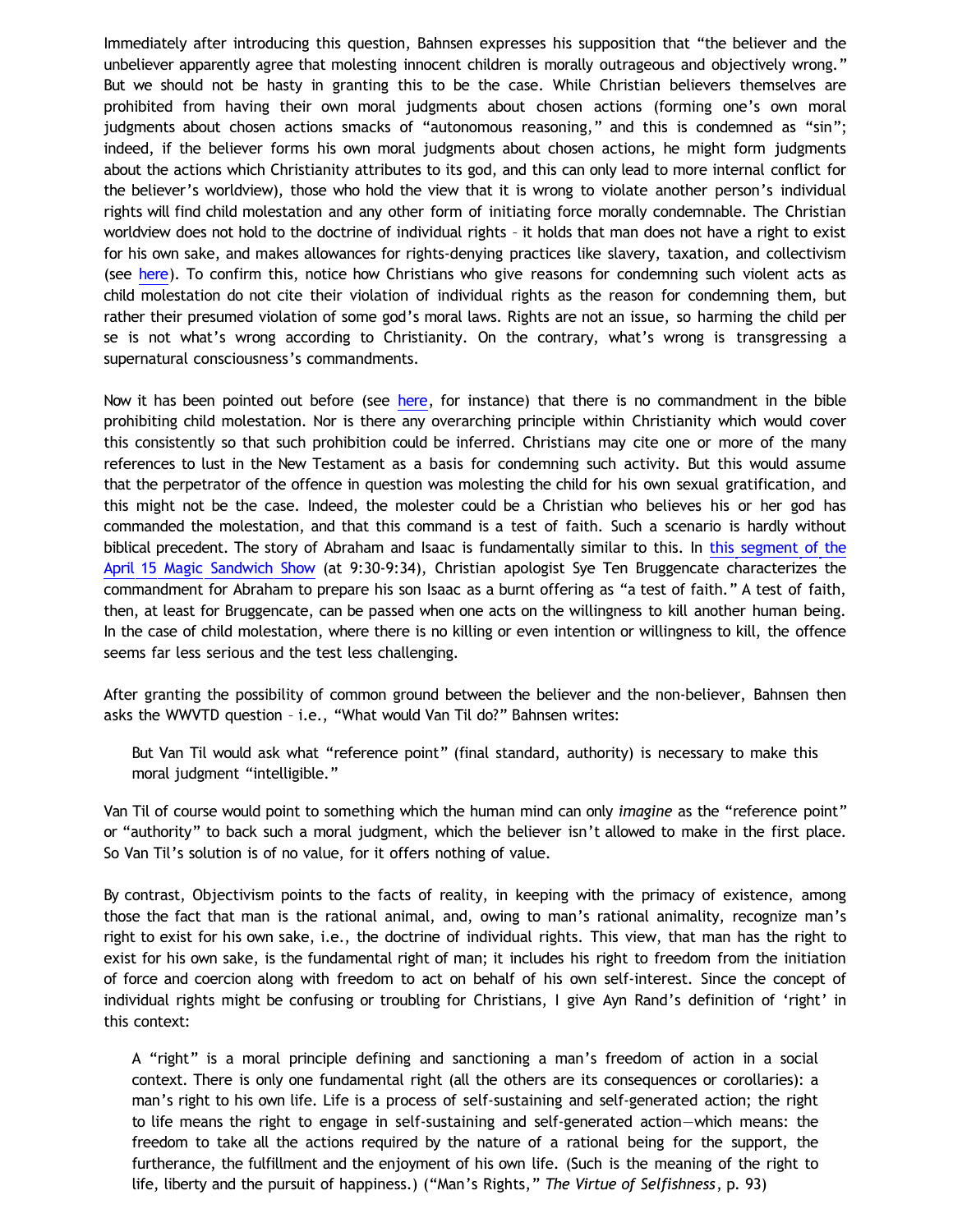Immediately after introducing this question, Bahnsen expresses his supposition that "the believer and the unbeliever apparently agree that molesting innocent children is morally outrageous and objectively wrong." But we should not be hasty in granting this to be the case. While Christian believers themselves are prohibited from having their own moral judgments about chosen actions (forming one's own moral judgments about chosen actions smacks of "autonomous reasoning," and this is condemned as "sin"; indeed, if the believer forms his own moral judgments about chosen actions, he might form judgments about the actions which Christianity attributes to its god, and this can only lead to more internal conflict for the believer's worldview), those who hold the view that it is wrong to violate another person's individual rights will find child molestation and any other form of initiating force morally condemnable. The Christian worldview does not hold to the doctrine of individual rights – it holds that man does not have a right to exist for his own sake, and makes allowances for rights-denying practices like slavery, taxation, and collectivism (see [here\)](http://bahnsenburner.blogspot.com/2012/05/answering-dustin-segers_19.html). To confirm this, notice how Christians who give reasons for condemning such violent acts as child molestation do not cite their violation of individual rights as the reason for condemning them, but rather their presumed violation of some god's moral laws. Rights are not an issue, so harming the child per se is not what's wrong according to Christianity. On the contrary, what's wrong is transgressing a supernatural consciousness's commandments.

Now it has been pointed out before (see [here](http://www.youtube.com/watch?v=fIOccBSlWYc&feature=relmfu), for instance) that there is no commandment in the bible prohibiting child molestation. Nor is there any overarching principle within Christianity which would cover this consistently so that such prohibition could be inferred. Christians may cite one or more of the many references to lust in the New Testament as a basis for condemning such activity. But this would assume that the perpetrator of the offence in question was molesting the child for his own sexual gratification, and this might not be the case. Indeed, the molester could be a Christian who believes his or her god has commanded the molestation, and that this command is a test of faith. Such a scenario is hardly without biblical precedent. The story of Abraham and Isaac is fundamentally similar to this. In [this segment of the](http://www.youtube.com/watch?v=fIOccBSlWYc&feature=relmfu) [April 15 Magic Sandwich Show](http://www.youtube.com/watch?v=fIOccBSlWYc&feature=relmfu) (at 9:30-9:34), Christian apologist Sye Ten Bruggencate characterizes the commandment for Abraham to prepare his son Isaac as a burnt offering as "a test of faith." A test of faith, then, at least for Bruggencate, can be passed when one acts on the willingness to kill another human being. In the case of child molestation, where there is no killing or even intention or willingness to kill, the offence seems far less serious and the test less challenging.

After granting the possibility of common ground between the believer and the non-believer, Bahnsen then asks the WWVTD question – i.e., "What would Van Til do?" Bahnsen writes:

But Van Til would ask what "reference point" (final standard, authority) is necessary to make this moral judgment "intelligible."

Van Til of course would point to something which the human mind can only *imagine* as the "reference point" or "authority" to back such a moral judgment, which the believer isn't allowed to make in the first place. So Van Til's solution is of no value, for it offers nothing of value.

By contrast, Objectivism points to the facts of reality, in keeping with the primacy of existence, among those the fact that man is the rational animal, and, owing to man's rational animality, recognize man's right to exist for his own sake, i.e., the doctrine of individual rights. This view, that man has the right to exist for his own sake, is the fundamental right of man; it includes his right to freedom from the initiation of force and coercion along with freedom to act on behalf of his own self-interest. Since the concept of individual rights might be confusing or troubling for Christians, I give Ayn Rand's definition of 'right' in this context:

A "right" is a moral principle defining and sanctioning a man's freedom of action in a social context. There is only one fundamental right (all the others are its consequences or corollaries): a man's right to his own life. Life is a process of self-sustaining and self-generated action; the right to life means the right to engage in self-sustaining and self-generated action—which means: the freedom to take all the actions required by the nature of a rational being for the support, the furtherance, the fulfillment and the enjoyment of his own life. (Such is the meaning of the right to life, liberty and the pursuit of happiness.) ("Man's Rights," *The Virtue of Selfishness*, p. 93)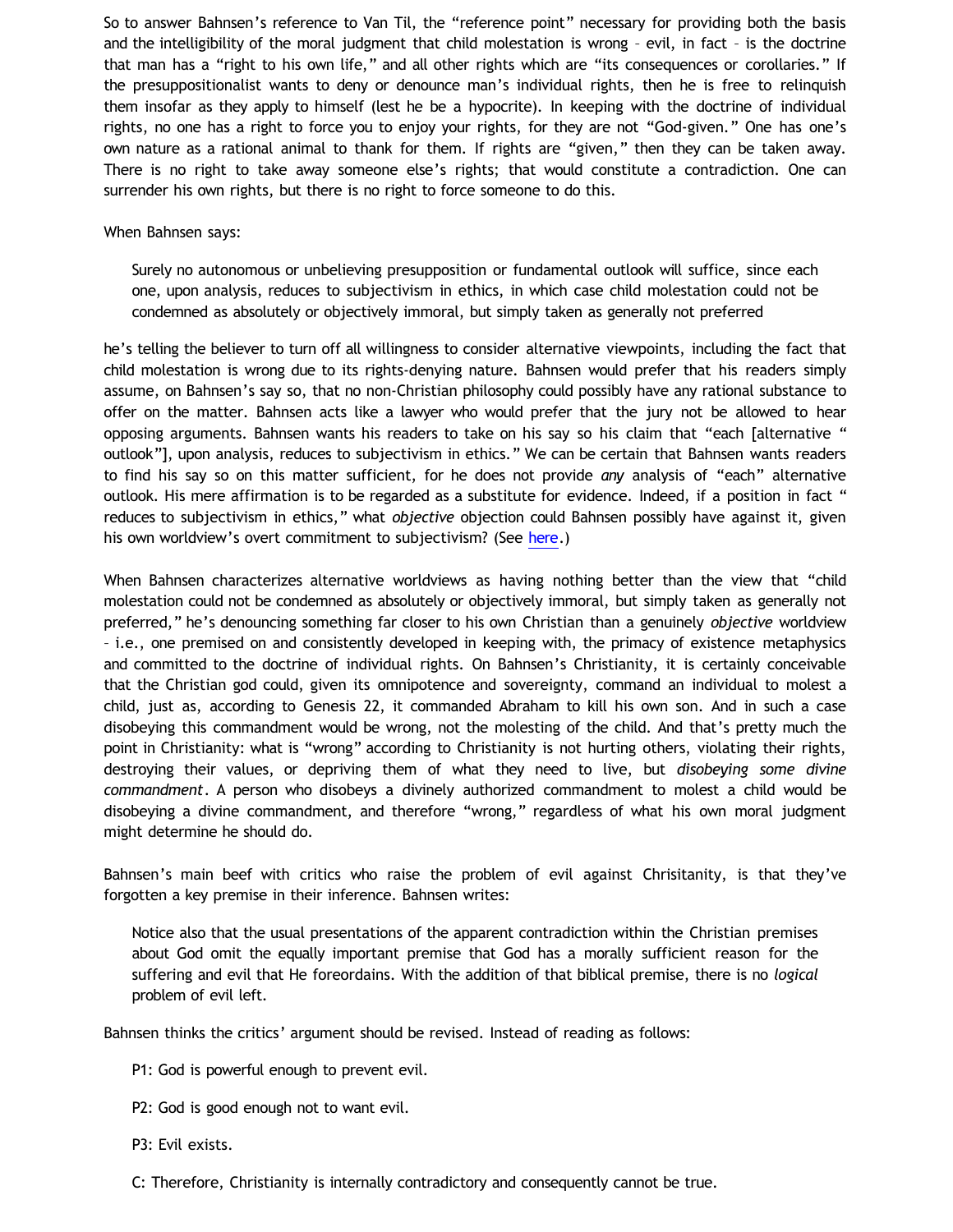So to answer Bahnsen's reference to Van Til, the "reference point" necessary for providing both the basis and the intelligibility of the moral judgment that child molestation is wrong – evil, in fact – is the doctrine that man has a "right to his own life," and all other rights which are "its consequences or corollaries." If the presuppositionalist wants to deny or denounce man's individual rights, then he is free to relinquish them insofar as they apply to himself (lest he be a hypocrite). In keeping with the doctrine of individual rights, no one has a right to force you to enjoy your rights, for they are not "God-given." One has one's own nature as a rational animal to thank for them. If rights are "given," then they can be taken away. There is no right to take away someone else's rights; that would constitute a contradiction. One can surrender his own rights, but there is no right to force someone to do this.

## When Bahnsen says:

Surely no autonomous or unbelieving presupposition or fundamental outlook will suffice, since each one, upon analysis, reduces to subjectivism in ethics, in which case child molestation could not be condemned as absolutely or objectively immoral, but simply taken as generally not preferred

he's telling the believer to turn off all willingness to consider alternative viewpoints, including the fact that child molestation is wrong due to its rights-denying nature. Bahnsen would prefer that his readers simply assume, on Bahnsen's say so, that no non-Christian philosophy could possibly have any rational substance to offer on the matter. Bahnsen acts like a lawyer who would prefer that the jury not be allowed to hear opposing arguments. Bahnsen wants his readers to take on his say so his claim that "each [alternative " outlook"], upon analysis, reduces to subjectivism in ethics." We can be certain that Bahnsen wants readers to find his say so on this matter sufficient, for he does not provide *any* analysis of "each" alternative outlook. His mere affirmation is to be regarded as a substitute for evidence. Indeed, if a position in fact " reduces to subjectivism in ethics," what *objective* objection could Bahnsen possibly have against it, given his own worldview's overt commitment to subjectivism? (See [here](http://bahnsenburner.blogspot.com/2010/02/how-theism-violates-primacy-of.html).)

When Bahnsen characterizes alternative worldviews as having nothing better than the view that "child molestation could not be condemned as absolutely or objectively immoral, but simply taken as generally not preferred," he's denouncing something far closer to his own Christian than a genuinely *objective* worldview – i.e., one premised on and consistently developed in keeping with, the primacy of existence metaphysics and committed to the doctrine of individual rights. On Bahnsen's Christianity, it is certainly conceivable that the Christian god could, given its omnipotence and sovereignty, command an individual to molest a child, just as, according to Genesis 22, it commanded Abraham to kill his own son. And in such a case disobeying this commandment would be wrong, not the molesting of the child. And that's pretty much the point in Christianity: what is "wrong" according to Christianity is not hurting others, violating their rights, destroying their values, or depriving them of what they need to live, but *disobeying some divine commandment*. A person who disobeys a divinely authorized commandment to molest a child would be disobeying a divine commandment, and therefore "wrong," regardless of what his own moral judgment might determine he should do.

Bahnsen's main beef with critics who raise the problem of evil against Chrisitanity, is that they've forgotten a key premise in their inference. Bahnsen writes:

Notice also that the usual presentations of the apparent contradiction within the Christian premises about God omit the equally important premise that God has a morally sufficient reason for the suffering and evil that He foreordains. With the addition of that biblical premise, there is no *logical* problem of evil left.

Bahnsen thinks the critics' argument should be revised. Instead of reading as follows:

P1: God is powerful enough to prevent evil.

P2: God is good enough not to want evil.

P3: Evil exists.

C: Therefore, Christianity is internally contradictory and consequently cannot be true.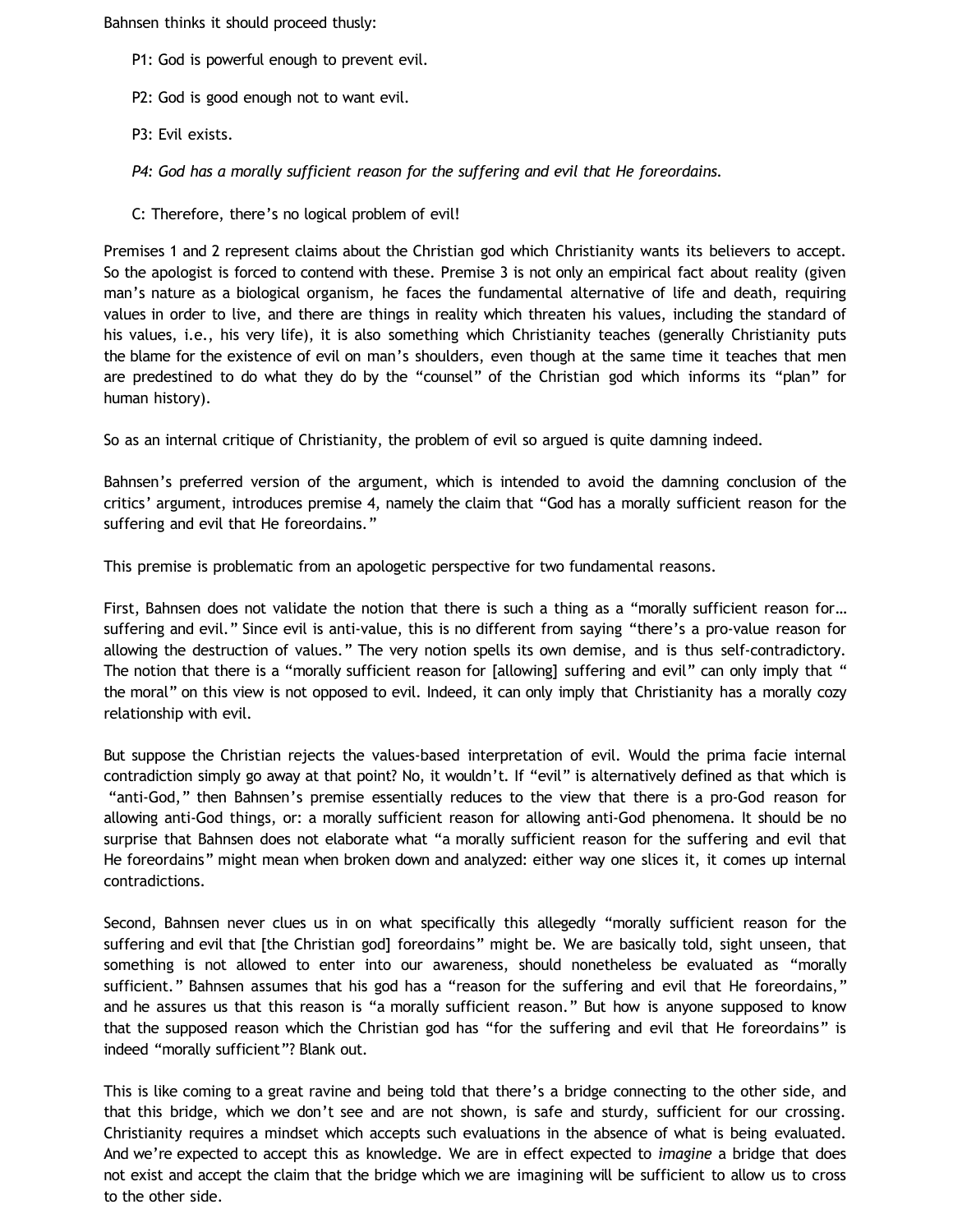Bahnsen thinks it should proceed thusly:

- P1: God is powerful enough to prevent evil.
- P2: God is good enough not to want evil.
- P3: Evil exists.

*P4: God has a morally sufficient reason for the suffering and evil that He foreordains.*

C: Therefore, there's no logical problem of evil!

Premises 1 and 2 represent claims about the Christian god which Christianity wants its believers to accept. So the apologist is forced to contend with these. Premise 3 is not only an empirical fact about reality (given man's nature as a biological organism, he faces the fundamental alternative of life and death, requiring values in order to live, and there are things in reality which threaten his values, including the standard of his values, i.e., his very life), it is also something which Christianity teaches (generally Christianity puts the blame for the existence of evil on man's shoulders, even though at the same time it teaches that men are predestined to do what they do by the "counsel" of the Christian god which informs its "plan" for human history).

So as an internal critique of Christianity, the problem of evil so argued is quite damning indeed.

Bahnsen's preferred version of the argument, which is intended to avoid the damning conclusion of the critics' argument, introduces premise 4, namely the claim that "God has a morally sufficient reason for the suffering and evil that He foreordains."

This premise is problematic from an apologetic perspective for two fundamental reasons.

First, Bahnsen does not validate the notion that there is such a thing as a "morally sufficient reason for... suffering and evil." Since evil is anti-value, this is no different from saying "there's a pro-value reason for allowing the destruction of values." The very notion spells its own demise, and is thus self-contradictory. The notion that there is a "morally sufficient reason for [allowing] suffering and evil" can only imply that " the moral" on this view is not opposed to evil. Indeed, it can only imply that Christianity has a morally cozy relationship with evil.

But suppose the Christian rejects the values-based interpretation of evil. Would the prima facie internal contradiction simply go away at that point? No, it wouldn't. If "evil" is alternatively defined as that which is "anti-God," then Bahnsen's premise essentially reduces to the view that there is a pro-God reason for allowing anti-God things, or: a morally sufficient reason for allowing anti-God phenomena. It should be no surprise that Bahnsen does not elaborate what "a morally sufficient reason for the suffering and evil that He foreordains" might mean when broken down and analyzed: either way one slices it, it comes up internal contradictions.

Second, Bahnsen never clues us in on what specifically this allegedly "morally sufficient reason for the suffering and evil that [the Christian god] foreordains" might be. We are basically told, sight unseen, that something is not allowed to enter into our awareness, should nonetheless be evaluated as "morally sufficient." Bahnsen assumes that his god has a "reason for the suffering and evil that He foreordains," and he assures us that this reason is "a morally sufficient reason." But how is anyone supposed to know that the supposed reason which the Christian god has "for the suffering and evil that He foreordains" is indeed "morally sufficient"? Blank out.

This is like coming to a great ravine and being told that there's a bridge connecting to the other side, and that this bridge, which we don't see and are not shown, is safe and sturdy, sufficient for our crossing. Christianity requires a mindset which accepts such evaluations in the absence of what is being evaluated. And we're expected to accept this as knowledge. We are in effect expected to *imagine* a bridge that does not exist and accept the claim that the bridge which we are imagining will be sufficient to allow us to cross to the other side.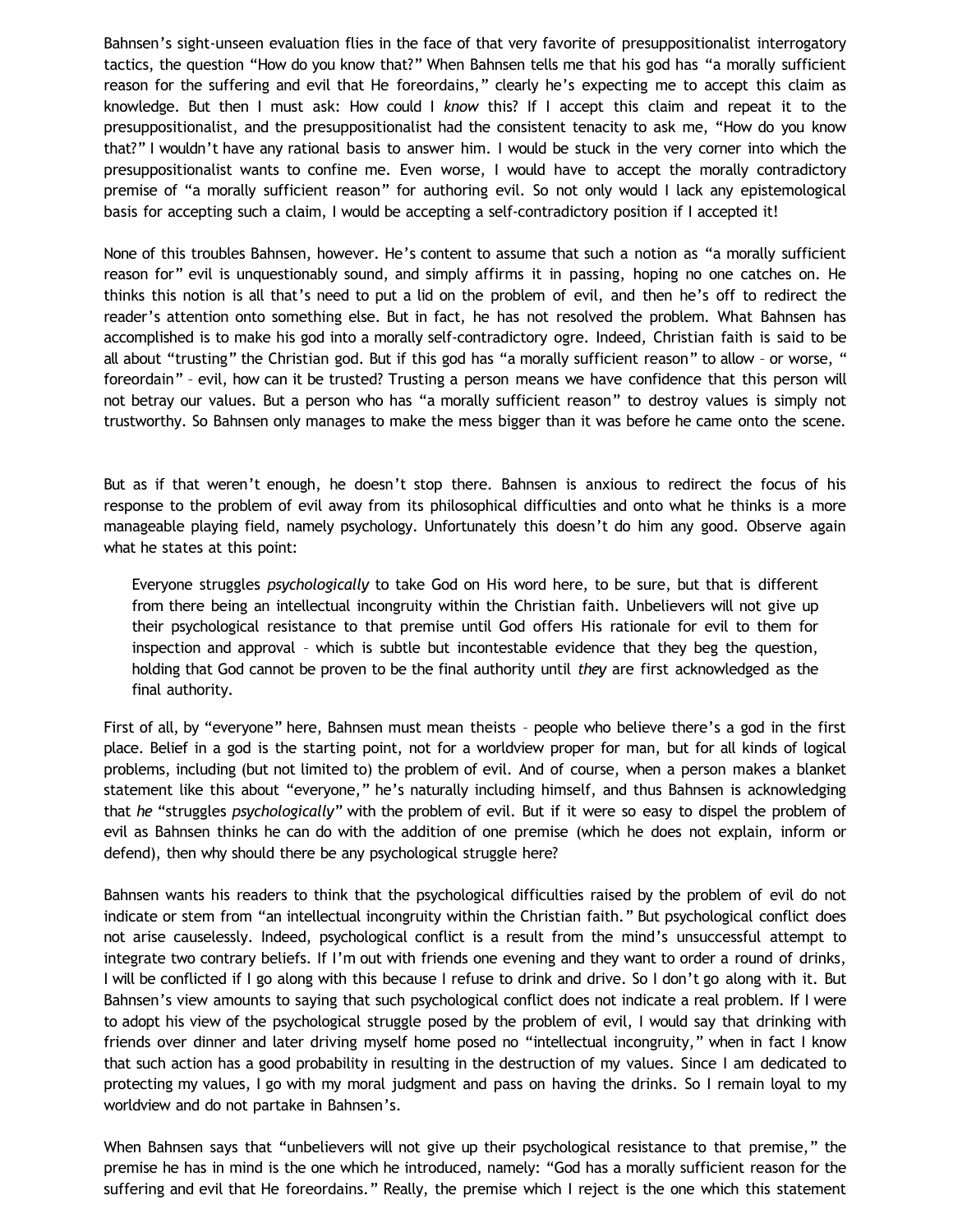Bahnsen's sight-unseen evaluation flies in the face of that very favorite of presuppositionalist interrogatory tactics, the question "How do you know that?" When Bahnsen tells me that his god has "a morally sufficient reason for the suffering and evil that He foreordains," clearly he's expecting me to accept this claim as knowledge. But then I must ask: How could I *know* this? If I accept this claim and repeat it to the presuppositionalist, and the presuppositionalist had the consistent tenacity to ask me, "How do you know that?" I wouldn't have any rational basis to answer him. I would be stuck in the very corner into which the presuppositionalist wants to confine me. Even worse, I would have to accept the morally contradictory premise of "a morally sufficient reason" for authoring evil. So not only would I lack any epistemological basis for accepting such a claim, I would be accepting a self-contradictory position if I accepted it!

None of this troubles Bahnsen, however. He's content to assume that such a notion as "a morally sufficient reason for" evil is unquestionably sound, and simply affirms it in passing, hoping no one catches on. He thinks this notion is all that's need to put a lid on the problem of evil, and then he's off to redirect the reader's attention onto something else. But in fact, he has not resolved the problem. What Bahnsen has accomplished is to make his god into a morally self-contradictory ogre. Indeed, Christian faith is said to be all about "trusting" the Christian god. But if this god has "a morally sufficient reason" to allow – or worse, " foreordain" – evil, how can it be trusted? Trusting a person means we have confidence that this person will not betray our values. But a person who has "a morally sufficient reason" to destroy values is simply not trustworthy. So Bahnsen only manages to make the mess bigger than it was before he came onto the scene.

But as if that weren't enough, he doesn't stop there. Bahnsen is anxious to redirect the focus of his response to the problem of evil away from its philosophical difficulties and onto what he thinks is a more manageable playing field, namely psychology. Unfortunately this doesn't do him any good. Observe again what he states at this point:

Everyone struggles *psychologically* to take God on His word here, to be sure, but that is different from there being an intellectual incongruity within the Christian faith. Unbelievers will not give up their psychological resistance to that premise until God offers His rationale for evil to them for inspection and approval – which is subtle but incontestable evidence that they beg the question, holding that God cannot be proven to be the final authority until *they* are first acknowledged as the final authority.

First of all, by "everyone" here, Bahnsen must mean theists – people who believe there's a god in the first place. Belief in a god is the starting point, not for a worldview proper for man, but for all kinds of logical problems, including (but not limited to) the problem of evil. And of course, when a person makes a blanket statement like this about "everyone," he's naturally including himself, and thus Bahnsen is acknowledging that *he* "struggles *psychologically*" with the problem of evil. But if it were so easy to dispel the problem of evil as Bahnsen thinks he can do with the addition of one premise (which he does not explain, inform or defend), then why should there be any psychological struggle here?

Bahnsen wants his readers to think that the psychological difficulties raised by the problem of evil do not indicate or stem from "an intellectual incongruity within the Christian faith." But psychological conflict does not arise causelessly. Indeed, psychological conflict is a result from the mind's unsuccessful attempt to integrate two contrary beliefs. If I'm out with friends one evening and they want to order a round of drinks, I will be conflicted if I go along with this because I refuse to drink and drive. So I don't go along with it. But Bahnsen's view amounts to saying that such psychological conflict does not indicate a real problem. If I were to adopt his view of the psychological struggle posed by the problem of evil, I would say that drinking with friends over dinner and later driving myself home posed no "intellectual incongruity," when in fact I know that such action has a good probability in resulting in the destruction of my values. Since I am dedicated to protecting my values, I go with my moral judgment and pass on having the drinks. So I remain loyal to my worldview and do not partake in Bahnsen's.

When Bahnsen says that "unbelievers will not give up their psychological resistance to that premise," the premise he has in mind is the one which he introduced, namely: "God has a morally sufficient reason for the suffering and evil that He foreordains." Really, the premise which I reject is the one which this statement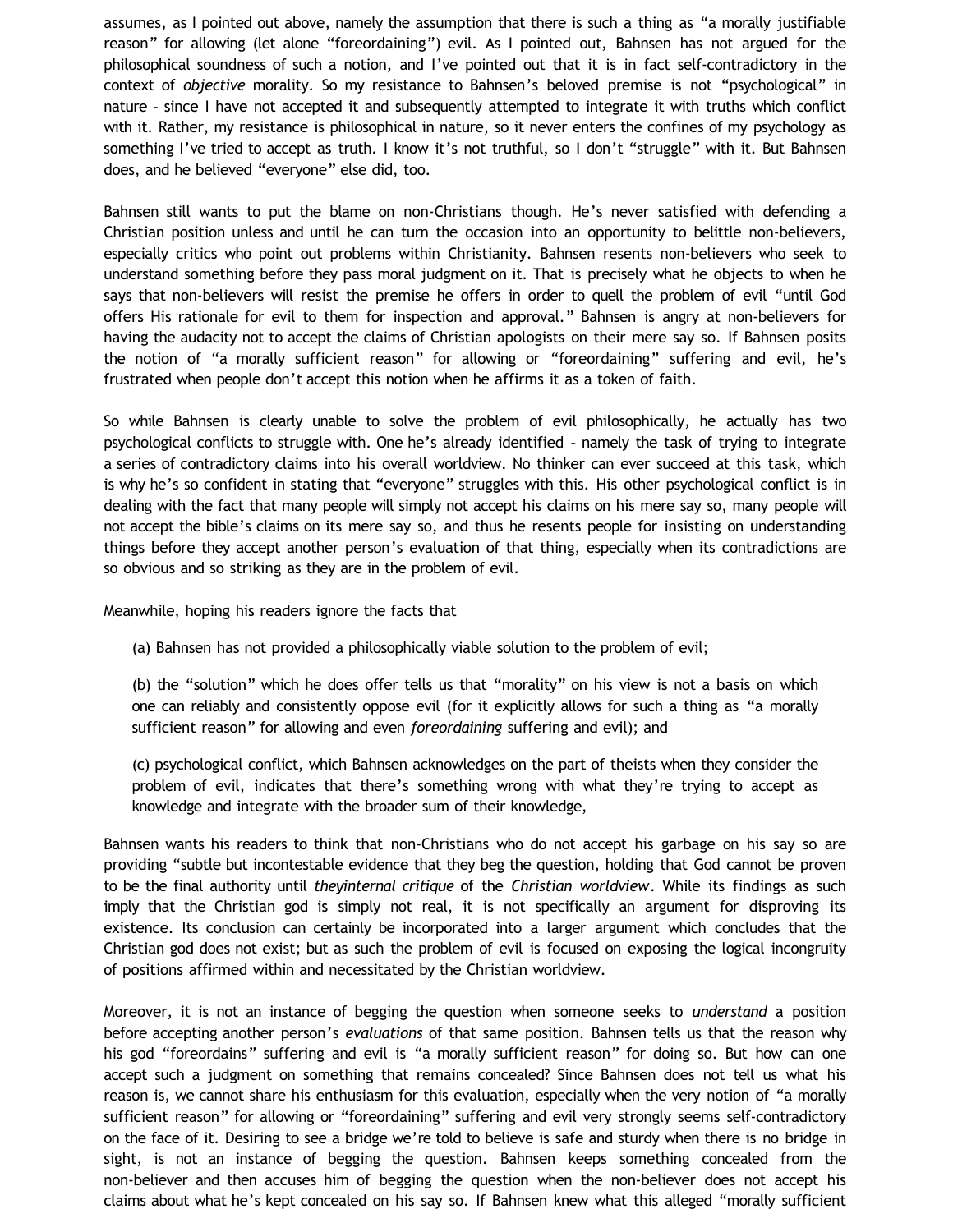assumes, as I pointed out above, namely the assumption that there is such a thing as "a morally justifiable reason" for allowing (let alone "foreordaining") evil. As I pointed out, Bahnsen has not argued for the philosophical soundness of such a notion, and I've pointed out that it is in fact self-contradictory in the context of *objective* morality. So my resistance to Bahnsen's beloved premise is not "psychological" in nature – since I have not accepted it and subsequently attempted to integrate it with truths which conflict with it. Rather, my resistance is philosophical in nature, so it never enters the confines of my psychology as something I've tried to accept as truth. I know it's not truthful, so I don't "struggle" with it. But Bahnsen does, and he believed "everyone" else did, too.

Bahnsen still wants to put the blame on non-Christians though. He's never satisfied with defending a Christian position unless and until he can turn the occasion into an opportunity to belittle non-believers, especially critics who point out problems within Christianity. Bahnsen resents non-believers who seek to understand something before they pass moral judgment on it. That is precisely what he objects to when he says that non-believers will resist the premise he offers in order to quell the problem of evil "until God offers His rationale for evil to them for inspection and approval." Bahnsen is angry at non-believers for having the audacity not to accept the claims of Christian apologists on their mere say so. If Bahnsen posits the notion of "a morally sufficient reason" for allowing or "foreordaining" suffering and evil, he's frustrated when people don't accept this notion when he affirms it as a token of faith.

So while Bahnsen is clearly unable to solve the problem of evil philosophically, he actually has two psychological conflicts to struggle with. One he's already identified – namely the task of trying to integrate a series of contradictory claims into his overall worldview. No thinker can ever succeed at this task, which is why he's so confident in stating that "everyone" struggles with this. His other psychological conflict is in dealing with the fact that many people will simply not accept his claims on his mere say so, many people will not accept the bible's claims on its mere say so, and thus he resents people for insisting on understanding things before they accept another person's evaluation of that thing, especially when its contradictions are so obvious and so striking as they are in the problem of evil.

Meanwhile, hoping his readers ignore the facts that

(a) Bahnsen has not provided a philosophically viable solution to the problem of evil;

(b) the "solution" which he does offer tells us that "morality" on his view is not a basis on which one can reliably and consistently oppose evil (for it explicitly allows for such a thing as "a morally sufficient reason" for allowing and even *foreordaining* suffering and evil); and

(c) psychological conflict, which Bahnsen acknowledges on the part of theists when they consider the problem of evil, indicates that there's something wrong with what they're trying to accept as knowledge and integrate with the broader sum of their knowledge,

Bahnsen wants his readers to think that non-Christians who do not accept his garbage on his say so are providing "subtle but incontestable evidence that they beg the question, holding that God cannot be proven to be the final authority until *theyinternal critique* of the *Christian worldview*. While its findings as such imply that the Christian god is simply not real, it is not specifically an argument for disproving its existence. Its conclusion can certainly be incorporated into a larger argument which concludes that the Christian god does not exist; but as such the problem of evil is focused on exposing the logical incongruity of positions affirmed within and necessitated by the Christian worldview.

Moreover, it is not an instance of begging the question when someone seeks to *understand* a position before accepting another person's *evaluations* of that same position. Bahnsen tells us that the reason why his god "foreordains" suffering and evil is "a morally sufficient reason" for doing so. But how can one accept such a judgment on something that remains concealed? Since Bahnsen does not tell us what his reason is, we cannot share his enthusiasm for this evaluation, especially when the very notion of "a morally sufficient reason" for allowing or "foreordaining" suffering and evil very strongly seems self-contradictory on the face of it. Desiring to see a bridge we're told to believe is safe and sturdy when there is no bridge in sight, is not an instance of begging the question. Bahnsen keeps something concealed from the non-believer and then accuses him of begging the question when the non-believer does not accept his claims about what he's kept concealed on his say so. If Bahnsen knew what this alleged "morally sufficient